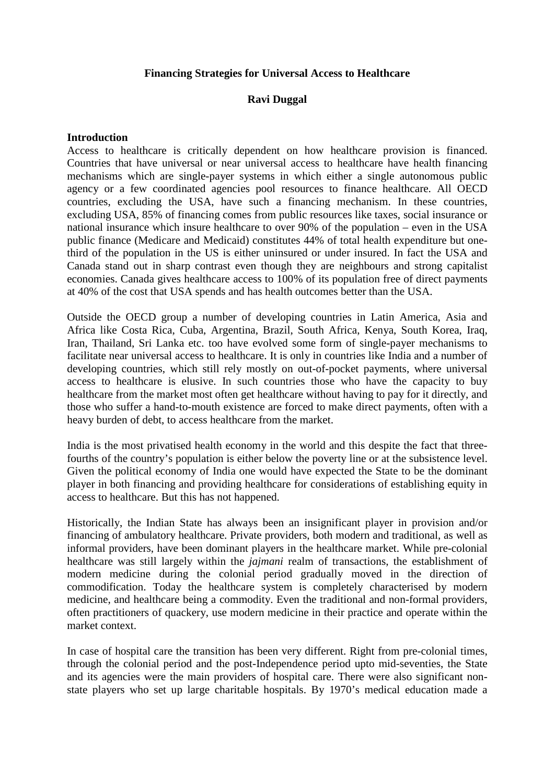# **Financing Strategies for Universal Access to Healthcare**

# **Ravi Duggal**

# **Introduction**

Access to healthcare is critically dependent on how healthcare provision is financed. Countries that have universal or near universal access to healthcare have health financing mechanisms which are single-payer systems in which either a single autonomous public agency or a few coordinated agencies pool resources to finance healthcare. All OECD countries, excluding the USA, have such a financing mechanism. In these countries, excluding USA, 85% of financing comes from public resources like taxes, social insurance or national insurance which insure healthcare to over 90% of the population – even in the USA public finance (Medicare and Medicaid) constitutes 44% of total health expenditure but onethird of the population in the US is either uninsured or under insured. In fact the USA and Canada stand out in sharp contrast even though they are neighbours and strong capitalist economies. Canada gives healthcare access to 100% of its population free of direct payments at 40% of the cost that USA spends and has health outcomes better than the USA.

Outside the OECD group a number of developing countries in Latin America, Asia and Africa like Costa Rica, Cuba, Argentina, Brazil, South Africa, Kenya, South Korea, Iraq, Iran, Thailand, Sri Lanka etc. too have evolved some form of single-payer mechanisms to facilitate near universal access to healthcare. It is only in countries like India and a number of developing countries, which still rely mostly on out-of-pocket payments, where universal access to healthcare is elusive. In such countries those who have the capacity to buy healthcare from the market most often get healthcare without having to pay for it directly, and those who suffer a hand-to-mouth existence are forced to make direct payments, often with a heavy burden of debt, to access healthcare from the market.

India is the most privatised health economy in the world and this despite the fact that threefourths of the country's population is either below the poverty line or at the subsistence level. Given the political economy of India one would have expected the State to be the dominant player in both financing and providing healthcare for considerations of establishing equity in access to healthcare. But this has not happened.

Historically, the Indian State has always been an insignificant player in provision and/or financing of ambulatory healthcare. Private providers, both modern and traditional, as well as informal providers, have been dominant players in the healthcare market. While pre-colonial healthcare was still largely within the *jajmani* realm of transactions, the establishment of modern medicine during the colonial period gradually moved in the direction of commodification. Today the healthcare system is completely characterised by modern medicine, and healthcare being a commodity. Even the traditional and non-formal providers, often practitioners of quackery, use modern medicine in their practice and operate within the market context.

In case of hospital care the transition has been very different. Right from pre-colonial times, through the colonial period and the post-Independence period upto mid-seventies, the State and its agencies were the main providers of hospital care. There were also significant nonstate players who set up large charitable hospitals. By 1970's medical education made a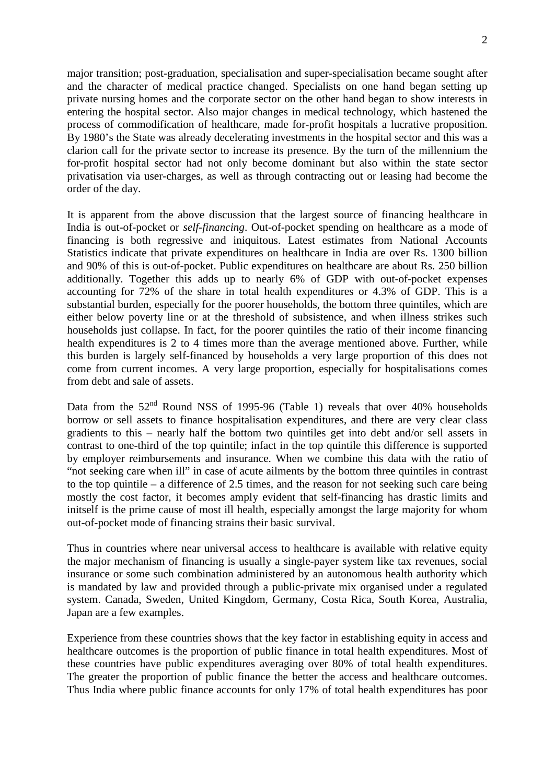major transition; post-graduation, specialisation and super-specialisation became sought after and the character of medical practice changed. Specialists on one hand began setting up private nursing homes and the corporate sector on the other hand began to show interests in entering the hospital sector. Also major changes in medical technology, which hastened the process of commodification of healthcare, made for-profit hospitals a lucrative proposition. By 1980's the State was already decelerating investments in the hospital sector and this was a clarion call for the private sector to increase its presence. By the turn of the millennium the for-profit hospital sector had not only become dominant but also within the state sector privatisation via user-charges, as well as through contracting out or leasing had become the order of the day.

It is apparent from the above discussion that the largest source of financing healthcare in India is out-of-pocket or *self-financing*. Out-of-pocket spending on healthcare as a mode of financing is both regressive and iniquitous. Latest estimates from National Accounts Statistics indicate that private expenditures on healthcare in India are over Rs. 1300 billion and 90% of this is out-of-pocket. Public expenditures on healthcare are about Rs. 250 billion additionally. Together this adds up to nearly 6% of GDP with out-of-pocket expenses accounting for 72% of the share in total health expenditures or 4.3% of GDP. This is a substantial burden, especially for the poorer households, the bottom three quintiles, which are either below poverty line or at the threshold of subsistence, and when illness strikes such households just collapse. In fact, for the poorer quintiles the ratio of their income financing health expenditures is 2 to 4 times more than the average mentioned above. Further, while this burden is largely self-financed by households a very large proportion of this does not come from current incomes. A very large proportion, especially for hospitalisations comes from debt and sale of assets.

Data from the  $52<sup>nd</sup>$  Round NSS of 1995-96 (Table 1) reveals that over 40% households borrow or sell assets to finance hospitalisation expenditures, and there are very clear class gradients to this – nearly half the bottom two quintiles get into debt and/or sell assets in contrast to one-third of the top quintile; infact in the top quintile this difference is supported by employer reimbursements and insurance. When we combine this data with the ratio of "not seeking care when ill" in case of acute ailments by the bottom three quintiles in contrast to the top quintile – a difference of 2.5 times, and the reason for not seeking such care being mostly the cost factor, it becomes amply evident that self-financing has drastic limits and initself is the prime cause of most ill health, especially amongst the large majority for whom out-of-pocket mode of financing strains their basic survival.

Thus in countries where near universal access to healthcare is available with relative equity the major mechanism of financing is usually a single-payer system like tax revenues, social insurance or some such combination administered by an autonomous health authority which is mandated by law and provided through a public-private mix organised under a regulated system. Canada, Sweden, United Kingdom, Germany, Costa Rica, South Korea, Australia, Japan are a few examples.

Experience from these countries shows that the key factor in establishing equity in access and healthcare outcomes is the proportion of public finance in total health expenditures. Most of these countries have public expenditures averaging over 80% of total health expenditures. The greater the proportion of public finance the better the access and healthcare outcomes. Thus India where public finance accounts for only 17% of total health expenditures has poor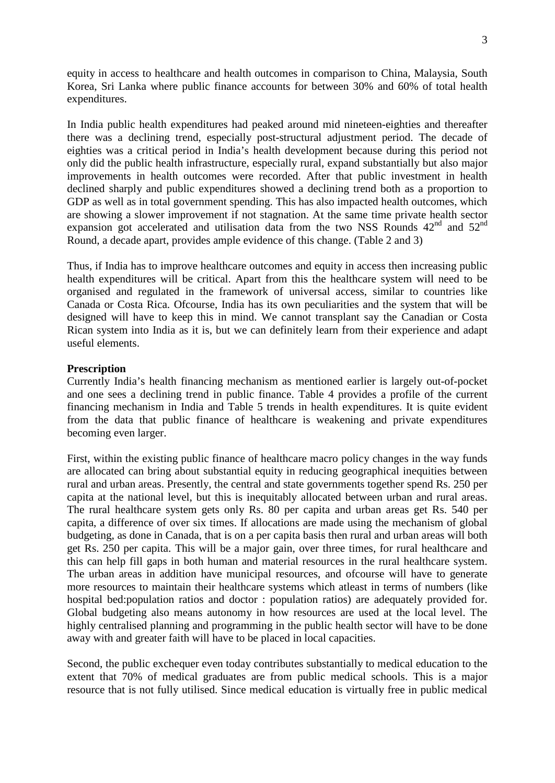equity in access to healthcare and health outcomes in comparison to China, Malaysia, South Korea, Sri Lanka where public finance accounts for between 30% and 60% of total health expenditures.

In India public health expenditures had peaked around mid nineteen-eighties and thereafter there was a declining trend, especially post-structural adjustment period. The decade of eighties was a critical period in India's health development because during this period not only did the public health infrastructure, especially rural, expand substantially but also major improvements in health outcomes were recorded. After that public investment in health declined sharply and public expenditures showed a declining trend both as a proportion to GDP as well as in total government spending. This has also impacted health outcomes, which are showing a slower improvement if not stagnation. At the same time private health sector expansion got accelerated and utilisation data from the two NSS Rounds  $42<sup>nd</sup>$  and  $52<sup>nd</sup>$ Round, a decade apart, provides ample evidence of this change. (Table 2 and 3)

Thus, if India has to improve healthcare outcomes and equity in access then increasing public health expenditures will be critical. Apart from this the healthcare system will need to be organised and regulated in the framework of universal access, similar to countries like Canada or Costa Rica. Ofcourse, India has its own peculiarities and the system that will be designed will have to keep this in mind. We cannot transplant say the Canadian or Costa Rican system into India as it is, but we can definitely learn from their experience and adapt useful elements.

#### **Prescription**

Currently India's health financing mechanism as mentioned earlier is largely out-of-pocket and one sees a declining trend in public finance. Table 4 provides a profile of the current financing mechanism in India and Table 5 trends in health expenditures. It is quite evident from the data that public finance of healthcare is weakening and private expenditures becoming even larger.

First, within the existing public finance of healthcare macro policy changes in the way funds are allocated can bring about substantial equity in reducing geographical inequities between rural and urban areas. Presently, the central and state governments together spend Rs. 250 per capita at the national level, but this is inequitably allocated between urban and rural areas. The rural healthcare system gets only Rs. 80 per capita and urban areas get Rs. 540 per capita, a difference of over six times. If allocations are made using the mechanism of global budgeting, as done in Canada, that is on a per capita basis then rural and urban areas will both get Rs. 250 per capita. This will be a major gain, over three times, for rural healthcare and this can help fill gaps in both human and material resources in the rural healthcare system. The urban areas in addition have municipal resources, and ofcourse will have to generate more resources to maintain their healthcare systems which atleast in terms of numbers (like hospital bed:population ratios and doctor : population ratios) are adequately provided for. Global budgeting also means autonomy in how resources are used at the local level. The highly centralised planning and programming in the public health sector will have to be done away with and greater faith will have to be placed in local capacities.

Second, the public exchequer even today contributes substantially to medical education to the extent that 70% of medical graduates are from public medical schools. This is a major resource that is not fully utilised. Since medical education is virtually free in public medical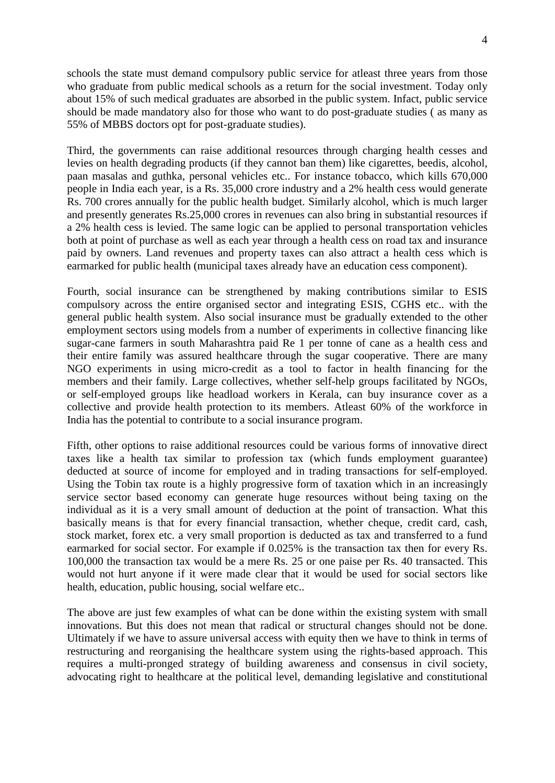schools the state must demand compulsory public service for atleast three years from those who graduate from public medical schools as a return for the social investment. Today only about 15% of such medical graduates are absorbed in the public system. Infact, public service should be made mandatory also for those who want to do post-graduate studies ( as many as 55% of MBBS doctors opt for post-graduate studies).

Third, the governments can raise additional resources through charging health cesses and levies on health degrading products (if they cannot ban them) like cigarettes, beedis, alcohol, paan masalas and guthka, personal vehicles etc.. For instance tobacco, which kills 670,000 people in India each year, is a Rs. 35,000 crore industry and a 2% health cess would generate Rs. 700 crores annually for the public health budget. Similarly alcohol, which is much larger and presently generates Rs.25,000 crores in revenues can also bring in substantial resources if a 2% health cess is levied. The same logic can be applied to personal transportation vehicles both at point of purchase as well as each year through a health cess on road tax and insurance paid by owners. Land revenues and property taxes can also attract a health cess which is earmarked for public health (municipal taxes already have an education cess component).

Fourth, social insurance can be strengthened by making contributions similar to ESIS compulsory across the entire organised sector and integrating ESIS, CGHS etc.. with the general public health system. Also social insurance must be gradually extended to the other employment sectors using models from a number of experiments in collective financing like sugar-cane farmers in south Maharashtra paid Re 1 per tonne of cane as a health cess and their entire family was assured healthcare through the sugar cooperative. There are many NGO experiments in using micro-credit as a tool to factor in health financing for the members and their family. Large collectives, whether self-help groups facilitated by NGOs, or self-employed groups like headload workers in Kerala, can buy insurance cover as a collective and provide health protection to its members. Atleast 60% of the workforce in India has the potential to contribute to a social insurance program.

Fifth, other options to raise additional resources could be various forms of innovative direct taxes like a health tax similar to profession tax (which funds employment guarantee) deducted at source of income for employed and in trading transactions for self-employed. Using the Tobin tax route is a highly progressive form of taxation which in an increasingly service sector based economy can generate huge resources without being taxing on the individual as it is a very small amount of deduction at the point of transaction. What this basically means is that for every financial transaction, whether cheque, credit card, cash, stock market, forex etc. a very small proportion is deducted as tax and transferred to a fund earmarked for social sector. For example if 0.025% is the transaction tax then for every Rs. 100,000 the transaction tax would be a mere Rs. 25 or one paise per Rs. 40 transacted. This would not hurt anyone if it were made clear that it would be used for social sectors like health, education, public housing, social welfare etc..

The above are just few examples of what can be done within the existing system with small innovations. But this does not mean that radical or structural changes should not be done. Ultimately if we have to assure universal access with equity then we have to think in terms of restructuring and reorganising the healthcare system using the rights-based approach. This requires a multi-pronged strategy of building awareness and consensus in civil society, advocating right to healthcare at the political level, demanding legislative and constitutional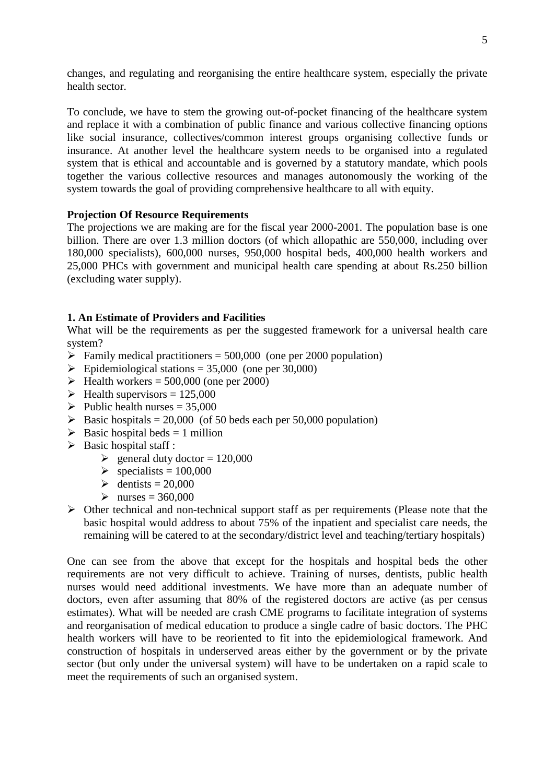changes, and regulating and reorganising the entire healthcare system, especially the private health sector.

To conclude, we have to stem the growing out-of-pocket financing of the healthcare system and replace it with a combination of public finance and various collective financing options like social insurance, collectives/common interest groups organising collective funds or insurance. At another level the healthcare system needs to be organised into a regulated system that is ethical and accountable and is governed by a statutory mandate, which pools together the various collective resources and manages autonomously the working of the system towards the goal of providing comprehensive healthcare to all with equity.

# **Projection Of Resource Requirements**

The projections we are making are for the fiscal year 2000-2001. The population base is one billion. There are over 1.3 million doctors (of which allopathic are 550,000, including over 180,000 specialists), 600,000 nurses, 950,000 hospital beds, 400,000 health workers and 25,000 PHCs with government and municipal health care spending at about Rs.250 billion (excluding water supply).

# **1. An Estimate of Providers and Facilities**

What will be the requirements as per the suggested framework for a universal health care system?

- $\triangleright$  Family medical practitioners = 500,000 (one per 2000 population)
- $\triangleright$  Epidemiological stations = 35,000 (one per 30,000)
- $\blacktriangleright$  Health workers = 500,000 (one per 2000)
- $\blacktriangleright$  Health supervisors = 125,000
- $\blacktriangleright$  Public health nurses = 35,000
- $\triangleright$  Basic hospitals = 20,000 (of 50 beds each per 50,000 population)
- $\triangleright$  Basic hospital beds = 1 million
- $\triangleright$  Basic hospital staff :
	- $\ge$  general duty doctor = 120,000
	- $\geq$  specialists = 100,000
	- $\geq$  dentists = 20,000
	- $\triangleright$  nurses = 360,000
- $\triangleright$  Other technical and non-technical support staff as per requirements (Please note that the basic hospital would address to about 75% of the inpatient and specialist care needs, the remaining will be catered to at the secondary/district level and teaching/tertiary hospitals)

One can see from the above that except for the hospitals and hospital beds the other requirements are not very difficult to achieve. Training of nurses, dentists, public health nurses would need additional investments. We have more than an adequate number of doctors, even after assuming that 80% of the registered doctors are active (as per census estimates). What will be needed are crash CME programs to facilitate integration of systems and reorganisation of medical education to produce a single cadre of basic doctors. The PHC health workers will have to be reoriented to fit into the epidemiological framework. And construction of hospitals in underserved areas either by the government or by the private sector (but only under the universal system) will have to be undertaken on a rapid scale to meet the requirements of such an organised system.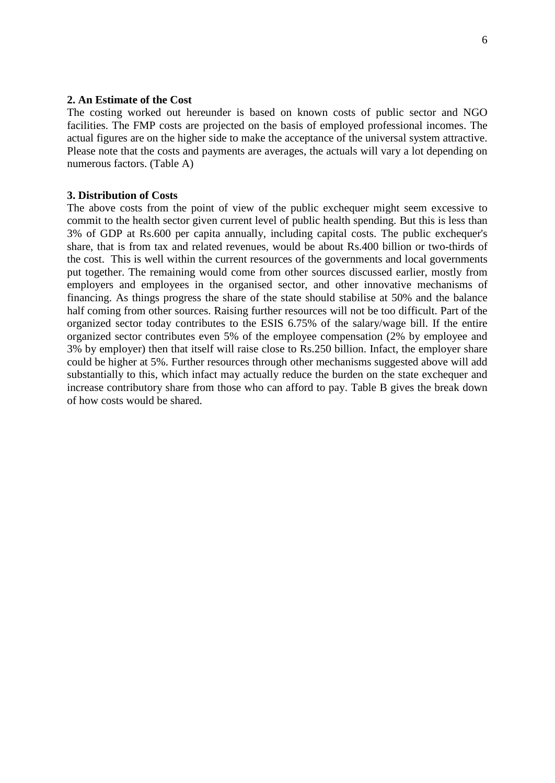### **2. An Estimate of the Cost**

The costing worked out hereunder is based on known costs of public sector and NGO facilities. The FMP costs are projected on the basis of employed professional incomes. The actual figures are on the higher side to make the acceptance of the universal system attractive. Please note that the costs and payments are averages, the actuals will vary a lot depending on numerous factors. (Table A)

#### **3. Distribution of Costs**

The above costs from the point of view of the public exchequer might seem excessive to commit to the health sector given current level of public health spending. But this is less than 3% of GDP at Rs.600 per capita annually, including capital costs. The public exchequer's share, that is from tax and related revenues, would be about Rs.400 billion or two-thirds of the cost. This is well within the current resources of the governments and local governments put together. The remaining would come from other sources discussed earlier, mostly from employers and employees in the organised sector, and other innovative mechanisms of financing. As things progress the share of the state should stabilise at 50% and the balance half coming from other sources. Raising further resources will not be too difficult. Part of the organized sector today contributes to the ESIS 6.75% of the salary/wage bill. If the entire organized sector contributes even 5% of the employee compensation (2% by employee and 3% by employer) then that itself will raise close to Rs.250 billion. Infact, the employer share could be higher at 5%. Further resources through other mechanisms suggested above will add substantially to this, which infact may actually reduce the burden on the state exchequer and increase contributory share from those who can afford to pay. Table B gives the break down of how costs would be shared.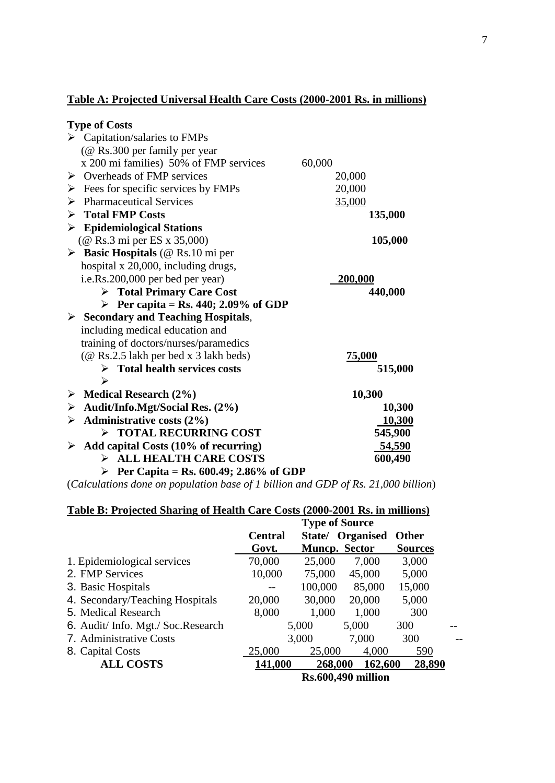# **Table A: Projected Universal Health Care Costs (2000-2001 Rs. in millions)**

| <b>Type of Costs</b>                                  |                |
|-------------------------------------------------------|----------------|
| $\triangleright$ Capitation/salaries to FMPs          |                |
| (@ Rs.300 per family per year                         |                |
| x 200 mi families) 50% of FMP services                | 60,000         |
| $\triangleright$ Overheads of FMP services            | 20,000         |
| Fees for specific services by FMPs<br>➤               | 20,000         |
| <b>Pharmaceutical Services</b><br>➤                   | 35,000         |
| <b>Total FMP Costs</b><br>➤                           | 135,000        |
| <b>Epidemiological Stations</b><br>➤                  |                |
| (@ Rs.3 mi per ES x 35,000)                           | 105,000        |
| <b>Basic Hospitals</b> (@ Rs.10 mi per<br>➤           |                |
| hospital x 20,000, including drugs,                   |                |
| i.e.Rs.200,000 per bed per year)                      | <b>200,000</b> |
| $\triangleright$ Total Primary Care Cost              | 440,000        |
| Per capita = Rs. 440; 2.09% of GDP                    |                |
| $\triangleright$ Secondary and Teaching Hospitals,    |                |
| including medical education and                       |                |
| training of doctors/nurses/paramedics                 |                |
| (@ Rs.2.5 lakh per bed x 3 lakh beds)                 | <u>75,000</u>  |
| $\triangleright$ Total health services costs<br>➢     | 515,000        |
| $\triangleright$ Medical Research (2%)                | 10,300         |
| Audit/Info.Mgt/Social Res. (2%)<br>➤                  | 10,300         |
| Administrative costs (2%)<br>➤                        | <u>10,300</u>  |
| > TOTAL RECURRING COST                                | 545,900        |
| $\triangleright$ Add capital Costs (10% of recurring) | 54,590         |
| > ALL HEALTH CARE COSTS                               | 600,490        |
|                                                       |                |

**Per Capita = Rs. 600.49; 2.86% of GDP**

(*Calculations done on population base of 1 billion and GDP of Rs. 21,000 billion*)

# **Table B: Projected Sharing of Health Care Costs (2000-2001 Rs. in millions)**

|                                    |                           | <b>Type of Source</b> |                  |                |  |
|------------------------------------|---------------------------|-----------------------|------------------|----------------|--|
|                                    | <b>Central</b>            |                       | State/ Organised | <b>Other</b>   |  |
|                                    | Govt.                     | <b>Muncp.</b> Sector  |                  | <b>Sources</b> |  |
| 1. Epidemiological services        | 70,000                    | 25,000                | 7,000            | 3,000          |  |
| 2. FMP Services                    | 10,000                    | 75,000                | 45,000           | 5,000          |  |
| 3. Basic Hospitals                 |                           | 100,000               | 85,000           | 15,000         |  |
| 4. Secondary/Teaching Hospitals    | 20,000                    | 30,000                | 20,000           | 5,000          |  |
| 5. Medical Research                | 8,000                     | 1,000                 | 1,000            | 300            |  |
| 6. Audit/ Info. Mgt./ Soc.Research |                           | 5,000                 | 5,000            | 300            |  |
| 7. Administrative Costs            |                           | 3,000                 | 7,000            | 300            |  |
| 8. Capital Costs                   | 25,000                    | 25,000                | 4,000            | 590            |  |
| <b>ALL COSTS</b>                   | 141,000                   | 268,000               | 162,600          | 28,890         |  |
|                                    | <b>Rs.600,490 million</b> |                       |                  |                |  |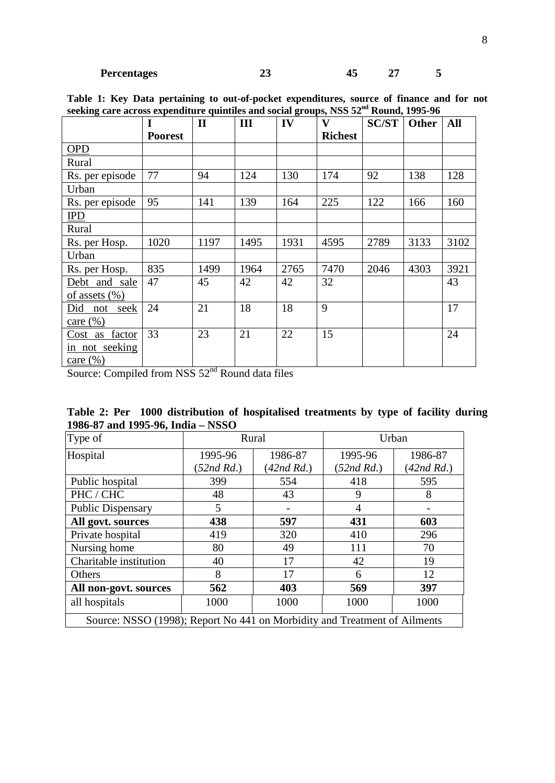|                    | I              | $\mathbf{I}$ | III  | IV   | $\mathbf{V}$   | <b>SC/ST</b> | <b>Other</b> | All  |
|--------------------|----------------|--------------|------|------|----------------|--------------|--------------|------|
|                    | <b>Poorest</b> |              |      |      | <b>Richest</b> |              |              |      |
| <b>OPD</b>         |                |              |      |      |                |              |              |      |
| Rural              |                |              |      |      |                |              |              |      |
| Rs. per episode    | 77             | 94           | 124  | 130  | 174            | 92           | 138          | 128  |
| Urban              |                |              |      |      |                |              |              |      |
| Rs. per episode    | 95             | 141          | 139  | 164  | 225            | 122          | 166          | 160  |
| <b>IPD</b>         |                |              |      |      |                |              |              |      |
| Rural              |                |              |      |      |                |              |              |      |
| Rs. per Hosp.      | 1020           | 1197         | 1495 | 1931 | 4595           | 2789         | 3133         | 3102 |
| Urban              |                |              |      |      |                |              |              |      |
| Rs. per Hosp.      | 835            | 1499         | 1964 | 2765 | 7470           | 2046         | 4303         | 3921 |
| Debt and sale      | 47             | 45           | 42   | 42   | 32             |              |              | 43   |
| of assets $(\% )$  |                |              |      |      |                |              |              |      |
| Did<br>not<br>seek | 24             | 21           | 18   | 18   | 9              |              |              | 17   |
| care $(\% )$       |                |              |      |      |                |              |              |      |
| Cost as factor     | 33             | 23           | 21   | 22   | 15             |              |              | 24   |
| in not seeking     |                |              |      |      |                |              |              |      |
| care $(\% )$       |                |              |      |      |                |              |              |      |

**Table 1: Key Data pertaining to out-of-pocket expenditures, source of finance and for not seeking care across expenditure quintiles and social groups, NSS 52nd Round, 1995-96**

Source: Compiled from NSS 52<sup>nd</sup> Round data files

| Table 2: Per 1000 distribution of hospitalised treatments by type of facility during |  |  |  |  |  |
|--------------------------------------------------------------------------------------|--|--|--|--|--|
| 1986-87 and 1995-96, India – NSSO                                                    |  |  |  |  |  |

| Type of                                                                   |               | Rural         | Urban         |                 |  |  |  |
|---------------------------------------------------------------------------|---------------|---------------|---------------|-----------------|--|--|--|
| Hospital                                                                  | 1995-96       | 1986-87       | 1995-96       | 1986-87         |  |  |  |
|                                                                           | $(52nd\,Rd.)$ | $(42nd\,Rd.)$ | $(52nd\,Rd.)$ | $(42nd \, Rd.)$ |  |  |  |
| Public hospital                                                           | 399           | 554           | 418           | 595             |  |  |  |
| PHC / CHC                                                                 | 48            | 43            | 9             | 8               |  |  |  |
| <b>Public Dispensary</b>                                                  | 5             |               | 4             |                 |  |  |  |
| All govt. sources                                                         | 438           | 597           | 431           | 603             |  |  |  |
| Private hospital                                                          | 419           | 320           | 410           | 296             |  |  |  |
| Nursing home                                                              | 80            | 49            | 111           | 70              |  |  |  |
| Charitable institution                                                    | 40            | 17            | 42            | 19              |  |  |  |
| Others                                                                    | 8             | 17            | 6             | 12              |  |  |  |
| All non-govt. sources                                                     | 562           | 403           | 569           | 397             |  |  |  |
| all hospitals                                                             | 1000          | 1000          | 1000          | 1000            |  |  |  |
| Source: NSSO (1998); Report No 441 on Morbidity and Treatment of Ailments |               |               |               |                 |  |  |  |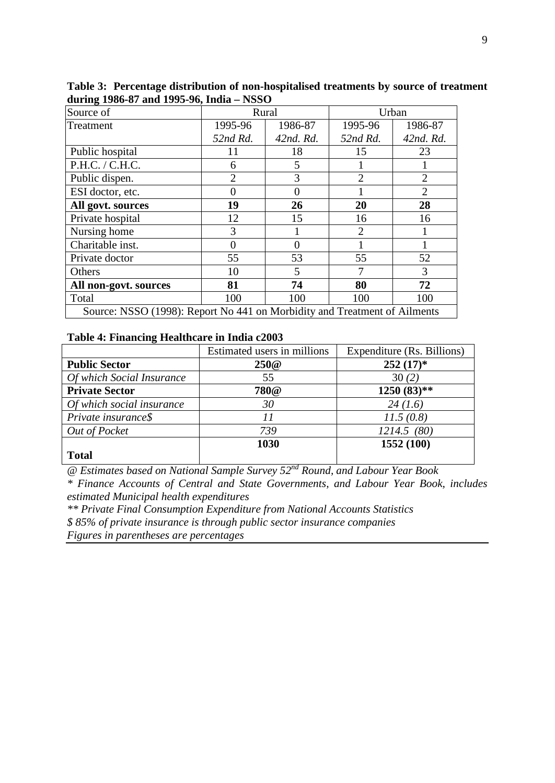| Source of                                                                 |                | Rural     | Urban          |                |  |  |
|---------------------------------------------------------------------------|----------------|-----------|----------------|----------------|--|--|
| Treatment                                                                 | 1995-96        | 1986-87   | 1995-96        | 1986-87        |  |  |
|                                                                           | 52nd Rd.       | 42nd. Rd. | 52nd Rd.       | 42nd. Rd.      |  |  |
| Public hospital                                                           | 11             | 18        | 15             | 23             |  |  |
| P.H.C. / C.H.C.                                                           | 6              | 5         |                |                |  |  |
| Public dispen.                                                            | $\overline{2}$ | 3         | $\overline{2}$ | $\overline{2}$ |  |  |
| ESI doctor, etc.                                                          | $\Omega$       | $\Omega$  |                | $\overline{2}$ |  |  |
| All govt. sources                                                         | 19             | 26        | 20             | 28             |  |  |
| Private hospital                                                          | 12             | 15        | 16             | 16             |  |  |
| Nursing home                                                              | 3              |           | $\overline{2}$ |                |  |  |
| Charitable inst.                                                          | $\Omega$       | 0         |                |                |  |  |
| Private doctor                                                            | 55             | 53        | 55             | 52             |  |  |
| Others                                                                    | 10             | 5         | 7              | 3              |  |  |
| All non-govt. sources                                                     | 81             | 74        | 80             | 72             |  |  |
| Total                                                                     | 100            | 100       | 100            | 100            |  |  |
| Source: NSSO (1998): Report No 441 on Morbidity and Treatment of Ailments |                |           |                |                |  |  |

**Table 3: Percentage distribution of non-hospitalised treatments by source of treatment during 1986-87 and 1995-96, India – NSSO**

### **Table 4: Financing Healthcare in India c2003**

|                           | Estimated users in millions | Expenditure (Rs. Billions) |
|---------------------------|-----------------------------|----------------------------|
| <b>Public Sector</b>      | 250@                        | $252(17)^*$                |
| Of which Social Insurance | 55                          | 30(2)                      |
| <b>Private Sector</b>     | <b>780@</b>                 | $1250(83)$ **              |
| Of which social insurance | 30                          | 24(1.6)                    |
| Private insurance\$       |                             | 11.5(0.8)                  |
| Out of Pocket             | 739                         | 1214.5(80)                 |
|                           | 1030                        | 1552 (100)                 |
| <b>Total</b>              |                             |                            |

*@ Estimates based on National Sample Survey 52nd Round, and Labour Year Book*

*\* Finance Accounts of Central and State Governments, and Labour Year Book, includes estimated Municipal health expenditures*

*\*\* Private Final Consumption Expenditure from National Accounts Statistics \$ 85% of private insurance is through public sector insurance companies Figures in parentheses are percentages*